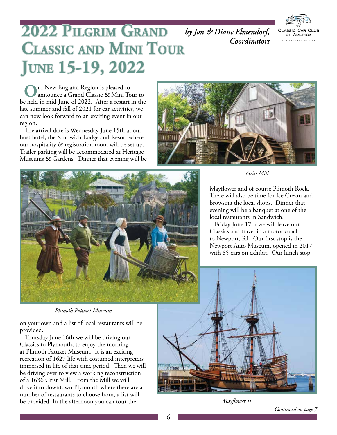

# 2022 PILGRIM GRAND by Jon & Diane Elmendorf, **CLASSIC AND MINI TOUR June 15-19, 2022**

ur New England Region is pleased to announce a Grand Classic & Mini Tour to be held in mid-June of 2022. After a restart in the late summer and fall of 2021 for car activities, we can now look forward to an exciting event in our region.

The arrival date is Wednesday June 15th at our host hotel, the Sandwich Lodge and Resort where our hospitality & registration room will be set up. Trailer parking will be accommodated at Heritage Museums & Gardens. Dinner that evening will be



*Coordinators*



*Grist Mill*

Mayflower and of course Plimoth Rock. There will also be time for Ice Cream and browsing the local shops. Dinner that evening will be a banquet at one of the local restaurants in Sandwich.

Friday June 17th we will leave our Classics and travel in a motor coach to Newport, RI. Our first stop is the Newport Auto Museum, opened in 2017 with 85 cars on exhibit. Our lunch stop



on your own and a list of local restaurants will be provided.

Thursday June 16th we will be driving our Classics to Plymouth, to enjoy the morning at Plimoth Patuxet Museum. It is an exciting recreation of 1627 life with costumed interpreters immersed in life of that time period. Then we will be driving over to view a working reconstruction of a 1636 Grist Mill. From the Mill we will drive into downtown Plymouth where there are a number of restaurants to choose from, a list will be provided. In the afternoon you can tour the



*Mayflower II*

*Continued on page 7*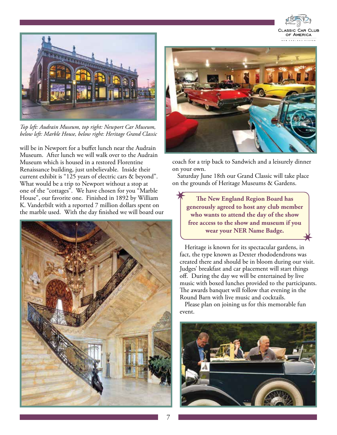



*Top left: Audrain Museum, top right: Newport Car Museum, below left: Marble House, below right: Heritage Grand Classic*

will be in Newport for a buffet lunch near the Audrain Museum. After lunch we will walk over to the Audrain Museum which is housed in a restored Florentine Renaissance building, just unbelievable. Inside their current exhibit is "125 years of electric cars & beyond". What would be a trip to Newport without a stop at one of the "cottages". We have chosen for you "Marble House", our favorite one. Finished in 1892 by William K. Vanderbilt with a reported 7 million dollars spent on the marble used. With the day finished we will board our





coach for a trip back to Sandwich and a leisurely dinner on your own.

Saturday June 18th our Grand Classic will take place on the grounds of Heritage Museums & Gardens.

**The New England Region Board has generously agreed to host any club member who wants to attend the day of the show free access to the show and museum if you wear your NER Name Badge.**

Heritage is known for its spectacular gardens, in fact, the type known as Dexter rhododendrons was created there and should be in bloom during our visit. Judges' breakfast and car placement will start things off. During the day we will be entertained by live music with boxed lunches provided to the participants. The awards banquet will follow that evening in the Round Barn with live music and cocktails.

Please plan on joining us for this memorable fun event.



 $\overline{\phantom{a}}$